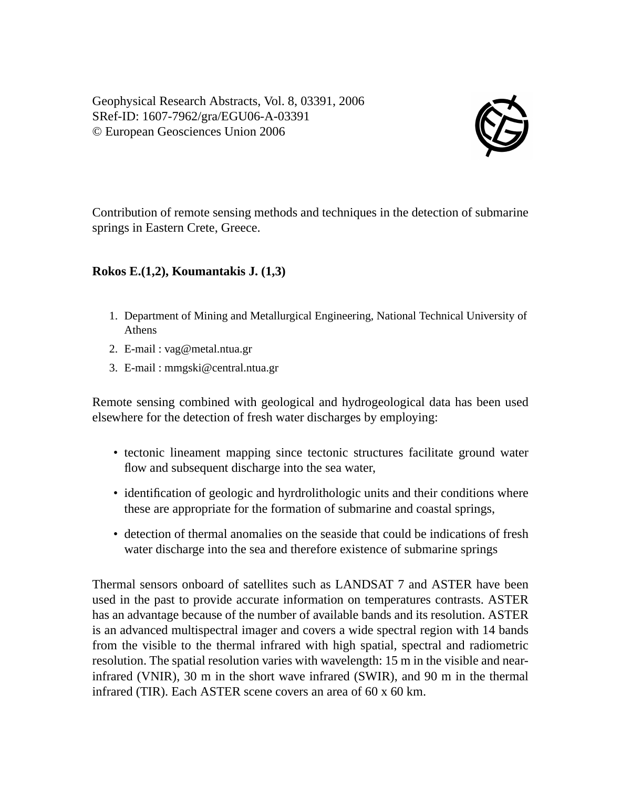Geophysical Research Abstracts, Vol. 8, 03391, 2006 SRef-ID: 1607-7962/gra/EGU06-A-03391 © European Geosciences Union 2006



Contribution of remote sensing methods and techniques in the detection of submarine springs in Eastern Crete, Greece.

## **Rokos E.(1,2), Koumantakis J. (1,3)**

- 1. Department of Mining and Metallurgical Engineering, National Technical University of Athens
- 2. E-mail : vag@metal.ntua.gr
- 3. E-mail : mmgski@central.ntua.gr

Remote sensing combined with geological and hydrogeological data has been used elsewhere for the detection of fresh water discharges by employing:

- tectonic lineament mapping since tectonic structures facilitate ground water flow and subsequent discharge into the sea water,
- identification of geologic and hyrdrolithologic units and their conditions where these are appropriate for the formation of submarine and coastal springs,
- detection of thermal anomalies on the seaside that could be indications of fresh water discharge into the sea and therefore existence of submarine springs

Thermal sensors onboard of satellites such as LANDSAT 7 and ASTER have been used in the past to provide accurate information on temperatures contrasts. ASTER has an advantage because of the number of available bands and its resolution. ASTER is an advanced multispectral imager and covers a wide spectral region with 14 bands from the visible to the thermal infrared with high spatial, spectral and radiometric resolution. The spatial resolution varies with wavelength: 15 m in the visible and nearinfrared (VNIR), 30 m in the short wave infrared (SWIR), and 90 m in the thermal infrared (TIR). Each ASTER scene covers an area of 60 x 60 km.